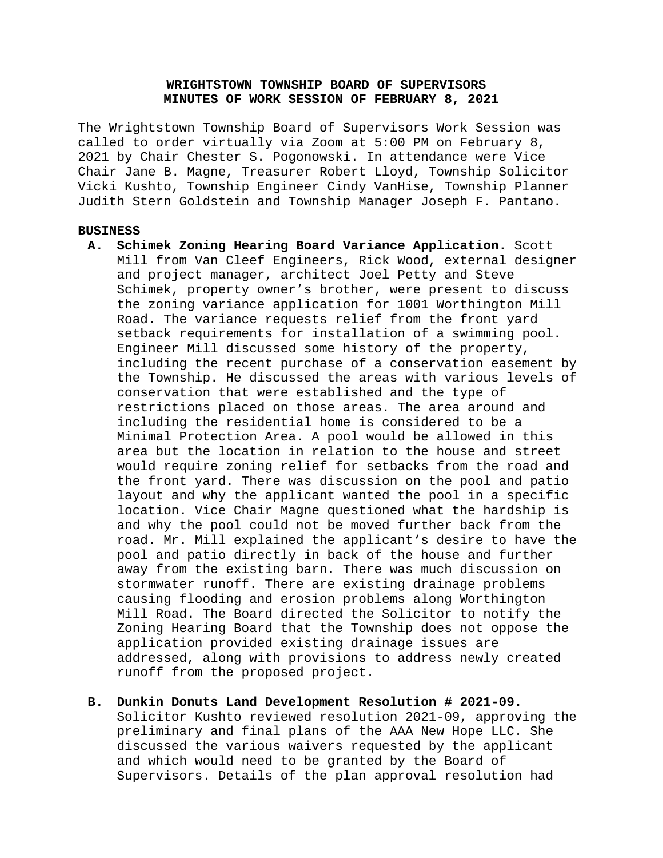# **WRIGHTSTOWN TOWNSHIP BOARD OF SUPERVISORS MINUTES OF WORK SESSION OF FEBRUARY 8, 2021**

The Wrightstown Township Board of Supervisors Work Session was called to order virtually via Zoom at 5:00 PM on February 8, 2021 by Chair Chester S. Pogonowski. In attendance were Vice Chair Jane B. Magne, Treasurer Robert Lloyd, Township Solicitor Vicki Kushto, Township Engineer Cindy VanHise, Township Planner Judith Stern Goldstein and Township Manager Joseph F. Pantano.

## **BUSINESS**

- **A. Schimek Zoning Hearing Board Variance Application.** Scott Mill from Van Cleef Engineers, Rick Wood, external designer and project manager, architect Joel Petty and Steve Schimek, property owner's brother, were present to discuss the zoning variance application for 1001 Worthington Mill Road. The variance requests relief from the front yard setback requirements for installation of a swimming pool. Engineer Mill discussed some history of the property, including the recent purchase of a conservation easement by the Township. He discussed the areas with various levels of conservation that were established and the type of restrictions placed on those areas. The area around and including the residential home is considered to be a Minimal Protection Area. A pool would be allowed in this area but the location in relation to the house and street would require zoning relief for setbacks from the road and the front yard. There was discussion on the pool and patio layout and why the applicant wanted the pool in a specific location. Vice Chair Magne questioned what the hardship is and why the pool could not be moved further back from the road. Mr. Mill explained the applicant's desire to have the pool and patio directly in back of the house and further away from the existing barn. There was much discussion on stormwater runoff. There are existing drainage problems causing flooding and erosion problems along Worthington Mill Road. The Board directed the Solicitor to notify the Zoning Hearing Board that the Township does not oppose the application provided existing drainage issues are addressed, along with provisions to address newly created runoff from the proposed project.
- **B. Dunkin Donuts Land Development Resolution # 2021-09.**

Solicitor Kushto reviewed resolution 2021-09, approving the preliminary and final plans of the AAA New Hope LLC. She discussed the various waivers requested by the applicant and which would need to be granted by the Board of Supervisors. Details of the plan approval resolution had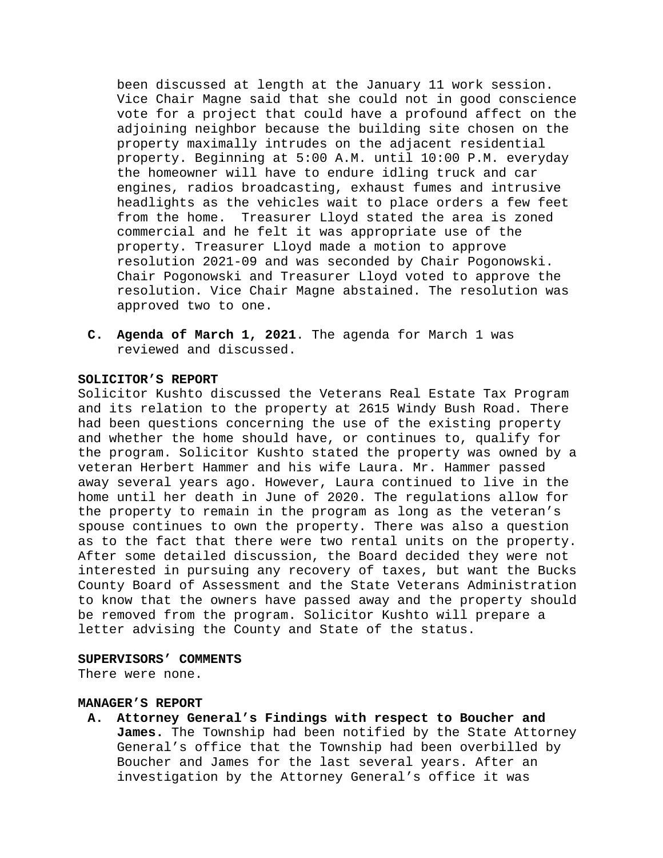been discussed at length at the January 11 work session. Vice Chair Magne said that she could not in good conscience vote for a project that could have a profound affect on the adjoining neighbor because the building site chosen on the property maximally intrudes on the adjacent residential property. Beginning at 5:00 A.M. until 10:00 P.M. everyday the homeowner will have to endure idling truck and car engines, radios broadcasting, exhaust fumes and intrusive headlights as the vehicles wait to place orders a few feet from the home. Treasurer Lloyd stated the area is zoned commercial and he felt it was appropriate use of the property. Treasurer Lloyd made a motion to approve resolution 2021-09 and was seconded by Chair Pogonowski. Chair Pogonowski and Treasurer Lloyd voted to approve the resolution. Vice Chair Magne abstained. The resolution was approved two to one.

**C. Agenda of March 1, 2021**. The agenda for March 1 was reviewed and discussed.

### **SOLICITOR'S REPORT**

Solicitor Kushto discussed the Veterans Real Estate Tax Program and its relation to the property at 2615 Windy Bush Road. There had been questions concerning the use of the existing property and whether the home should have, or continues to, qualify for the program. Solicitor Kushto stated the property was owned by a veteran Herbert Hammer and his wife Laura. Mr. Hammer passed away several years ago. However, Laura continued to live in the home until her death in June of 2020. The regulations allow for the property to remain in the program as long as the veteran's spouse continues to own the property. There was also a question as to the fact that there were two rental units on the property. After some detailed discussion, the Board decided they were not interested in pursuing any recovery of taxes, but want the Bucks County Board of Assessment and the State Veterans Administration to know that the owners have passed away and the property should be removed from the program. Solicitor Kushto will prepare a letter advising the County and State of the status.

#### **SUPERVISORS' COMMENTS**

There were none.

#### **MANAGER'S REPORT**

**A. Attorney General's Findings with respect to Boucher and James.** The Township had been notified by the State Attorney General's office that the Township had been overbilled by Boucher and James for the last several years. After an investigation by the Attorney General's office it was